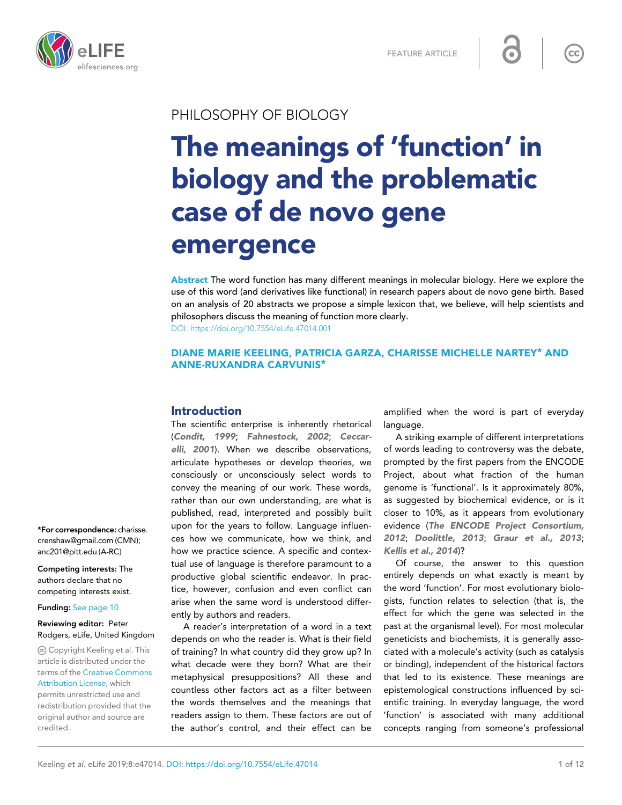

# PHILOSOPHY OF BIOLOGY

# The meanings of 'function' in biology and the problematic case of de novo gene emergence

Abstract The word function has many different meanings in molecular biology. Here we explore the use of this word (and derivatives like functional) in research papers about de novo gene birth. Based on an analysis of 20 abstracts we propose a simple lexicon that, we believe, will help scientists and philosophers discuss the meaning of function more clearly. [DOI: https://doi.org/10.7554/eLife.47014.001](https://doi.org/10.7554/eLife.47014.001)

# DIANE MARIE KEELING, PATRICIA GARZA, CHARISSE MICHELLE NARTEY\* AND ANNE-RUXANDRA CARVUNIS\*

# Introduction

The scientific enterprise is inherently rhetorical ([Condit, 1999](#page-10-0); [Fahnestock, 2002](#page-10-0); [Ceccar](#page-10-0)[elli, 2001](#page-10-0)). When we describe observations, articulate hypotheses or develop theories, we consciously or unconsciously select words to convey the meaning of our work. These words, rather than our own understanding, are what is published, read, interpreted and possibly built upon for the years to follow. Language influences how we communicate, how we think, and how we practice science. A specific and contextual use of language is therefore paramount to a productive global scientific endeavor. In practice, however, confusion and even conflict can arise when the same word is understood differently by authors and readers.

A reader's interpretation of a word in a text depends on who the reader is. What is their field of training? In what country did they grow up? In what decade were they born? What are their metaphysical presuppositions? All these and countless other factors act as a filter between the words themselves and the meanings that readers assign to them. These factors are out of the author's control, and their effect can be

amplified when the word is part of everyday language.

A striking example of different interpretations of words leading to controversy was the debate, prompted by the first papers from the ENCODE Project, about what fraction of the human genome is 'functional'. Is it approximately 80%, as suggested by biochemical evidence, or is it closer to 10%, as it appears from evolutionary evidence ([The ENCODE Project Consortium,](#page-11-0) [2012](#page-11-0); [Doolittle, 2013](#page-10-0); [Graur et al., 2013](#page-10-0); [Kellis et al., 2014](#page-10-0))?

Of course, the answer to this question entirely depends on what exactly is meant by the word 'function'. For most evolutionary biologists, function relates to selection (that is, the effect for which the gene was selected in the past at the organismal level). For most molecular geneticists and biochemists, it is generally associated with a molecule's activity (such as catalysis or binding), independent of the historical factors that led to its existence. These meanings are epistemological constructions influenced by scientific training. In everyday language, the word 'function' is associated with many additional concepts ranging from someone's professional

\*For correspondence: charisse. crenshaw@gmail.com (CMN); anc201@pitt.edu (A-RC)

Competing interests: The authors declare that no competing interests exist.

### Funding: [See page 10](#page-9-0)

### Reviewing editor: Peter Rodgers, eLife, United Kingdom

Copyright Keeling et al. This article is distributed under the terms of the [Creative Commons](http://creativecommons.org/licenses/by/4.0/) [Attribution License,](http://creativecommons.org/licenses/by/4.0/) which

permits unrestricted use and redistribution provided that the original author and source are credited.

 $cc$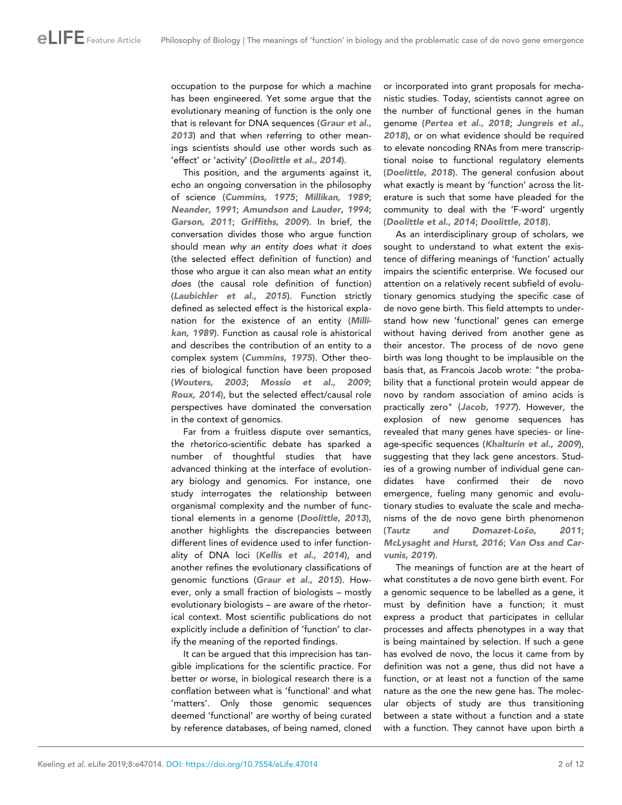occupation to the purpose for which a machine has been engineered. Yet some argue that the evolutionary meaning of function is the only one that is relevant for DNA sequences ([Graur et al.,](#page-10-0) [2013](#page-10-0)) and that when referring to other meanings scientists should use other words such as 'effect' or 'activity' ([Doolittle et al., 2014](#page-10-0)).

This position, and the arguments against it, echo an ongoing conversation in the philosophy of science ([Cummins, 1975](#page-10-0); [Millikan, 1989](#page-11-0); [Neander, 1991](#page-11-0); [Amundson and Lauder, 1994](#page-10-0); [Garson, 2011](#page-10-0); [Griffiths, 2009](#page-10-0)). In brief, the conversation divides those who argue function should mean why an entity does what it does (the selected effect definition of function) and those who argue it can also mean what an entity does (the causal role definition of function) ([Laubichler et al., 2015](#page-11-0)). Function strictly defined as selected effect is the historical explanation for the existence of an entity ([Milli](#page-11-0)[kan, 1989](#page-11-0)). Function as causal role is ahistorical and describes the contribution of an entity to a complex system ([Cummins, 1975](#page-10-0)). Other theories of biological function have been proposed ([Wouters, 2003](#page-11-0); [Mossio et al., 2009](#page-11-0); [Roux, 2014](#page-11-0)), but the selected effect/causal role perspectives have dominated the conversation in the context of genomics.

Far from a fruitless dispute over semantics, the rhetorico-scientific debate has sparked a number of thoughtful studies that have advanced thinking at the interface of evolutionary biology and genomics. For instance, one study interrogates the relationship between organismal complexity and the number of functional elements in a genome ([Doolittle, 2013](#page-10-0)), another highlights the discrepancies between different lines of evidence used to infer functionality of DNA loci ([Kellis et al., 2014](#page-10-0)), and another refines the evolutionary classifications of genomic functions ([Graur et al., 2015](#page-10-0)). However, only a small fraction of biologists – mostly evolutionary biologists – are aware of the rhetorical context. Most scientific publications do not explicitly include a definition of 'function' to clarify the meaning of the reported findings.

It can be argued that this imprecision has tangible implications for the scientific practice. For better or worse, in biological research there is a conflation between what is 'functional' and what 'matters'. Only those genomic sequences deemed 'functional' are worthy of being curated by reference databases, of being named, cloned

or incorporated into grant proposals for mechanistic studies. Today, scientists cannot agree on the number of functional genes in the human genome ([Pertea et al., 2018](#page-11-0); [Jungreis et al.,](#page-10-0) [2018](#page-10-0)), or on what evidence should be required to elevate noncoding RNAs from mere transcriptional noise to functional regulatory elements ([Doolittle, 2018](#page-10-0)). The general confusion about what exactly is meant by 'function' across the literature is such that some have pleaded for the community to deal with the 'F-word' urgently ([Doolittle et al., 2014](#page-10-0); [Doolittle, 2018](#page-10-0)).

As an interdisciplinary group of scholars, we sought to understand to what extent the existence of differing meanings of 'function' actually impairs the scientific enterprise. We focused our attention on a relatively recent subfield of evolutionary genomics studying the specific case of de novo gene birth. This field attempts to understand how new 'functional' genes can emerge without having derived from another gene as their ancestor. The process of de novo gene birth was long thought to be implausible on the basis that, as Francois Jacob wrote: "the probability that a functional protein would appear de novo by random association of amino acids is practically zero" ([Jacob, 1977](#page-10-0)). However, the explosion of new genome sequences has revealed that many genes have species- or lineage-specific sequences ([Khalturin et al., 2009](#page-11-0)), suggesting that they lack gene ancestors. Studies of a growing number of individual gene candidates have confirmed their de novo emergence, fueling many genomic and evolutionary studies to evaluate the scale and mechanisms of the de novo gene birth phenomenon (Tautz and Domazet-Loso, 2011; [McLysaght and Hurst, 2016](#page-11-0); [Van Oss and Car](#page-11-0)[vunis, 2019](#page-11-0)).

The meanings of function are at the heart of what constitutes a de novo gene birth event. For a genomic sequence to be labelled as a gene, it must by definition have a function; it must express a product that participates in cellular processes and affects phenotypes in a way that is being maintained by selection. If such a gene has evolved de novo, the locus it came from by definition was not a gene, thus did not have a function, or at least not a function of the same nature as the one the new gene has. The molecular objects of study are thus transitioning between a state without a function and a state with a function. They cannot have upon birth a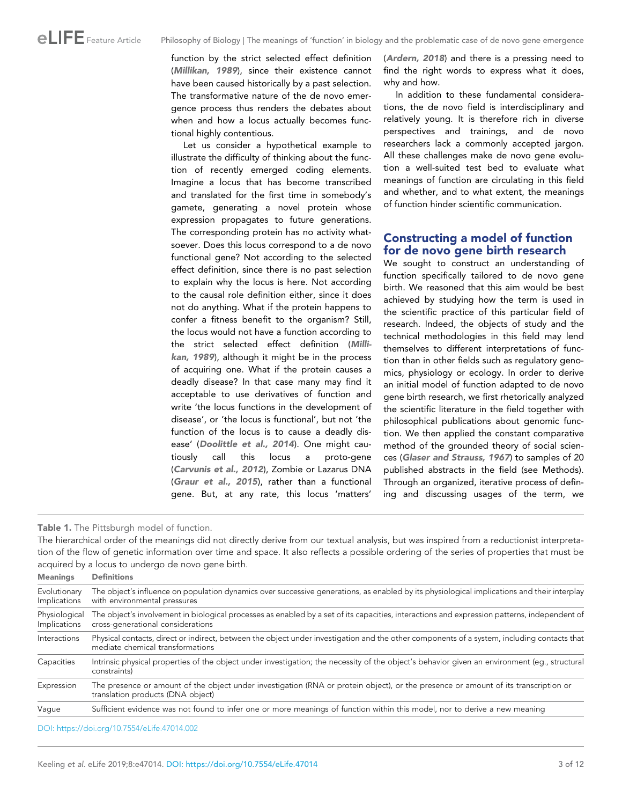<span id="page-2-0"></span>function by the strict selected effect definition ([Millikan, 1989](#page-11-0)), since their existence cannot have been caused historically by a past selection. The transformative nature of the de novo emergence process thus renders the debates about when and how a locus actually becomes functional highly contentious.

Let us consider a hypothetical example to illustrate the difficulty of thinking about the function of recently emerged coding elements. Imagine a locus that has become transcribed and translated for the first time in somebody's gamete, generating a novel protein whose expression propagates to future generations. The corresponding protein has no activity whatsoever. Does this locus correspond to a de novo functional gene? Not according to the selected effect definition, since there is no past selection to explain why the locus is here. Not according to the causal role definition either, since it does not do anything. What if the protein happens to confer a fitness benefit to the organism? Still, the locus would not have a function according to the strict selected effect definition ([Milli](#page-11-0)[kan, 1989](#page-11-0)), although it might be in the process of acquiring one. What if the protein causes a deadly disease? In that case many may find it acceptable to use derivatives of function and write 'the locus functions in the development of disease', or 'the locus is functional', but not 'the function of the locus is to cause a deadly disease' ([Doolittle et al., 2014](#page-10-0)). One might cautiously call this locus a proto-gene ([Carvunis et al., 2012](#page-10-0)), Zombie or Lazarus DNA ([Graur et al., 2015](#page-10-0)), rather than a functional gene. But, at any rate, this locus 'matters'

([Ardern, 2018](#page-10-0)) and there is a pressing need to find the right words to express what it does, why and how.

In addition to these fundamental considerations, the de novo field is interdisciplinary and relatively young. It is therefore rich in diverse perspectives and trainings, and de novo researchers lack a commonly accepted jargon. All these challenges make de novo gene evolution a well-suited test bed to evaluate what meanings of function are circulating in this field and whether, and to what extent, the meanings of function hinder scientific communication.

# Constructing a model of function for de novo gene birth research

We sought to construct an understanding of function specifically tailored to de novo gene birth. We reasoned that this aim would be best achieved by studying how the term is used in the scientific practice of this particular field of research. Indeed, the objects of study and the technical methodologies in this field may lend themselves to different interpretations of function than in other fields such as regulatory genomics, physiology or ecology. In order to derive an initial model of function adapted to de novo gene birth research, we first rhetorically analyzed the scientific literature in the field together with philosophical publications about genomic function. We then applied the constant comparative method of the grounded theory of social sciences ([Glaser and Strauss, 1967](#page-10-0)) to samples of 20 published abstracts in the field (see Methods). Through an organized, iterative process of defining and discussing usages of the term, we

Table 1. The Pittsburgh model of function.

The hierarchical order of the meanings did not directly derive from our textual analysis, but was inspired from a reductionist interpretation of the flow of genetic information over time and space. It also reflects a possible ordering of the series of properties that must be acquired by a locus to undergo de novo gene birth.

| <b>Meanings</b>               | <b>Definitions</b>                                                                                                                                                                |  |  |
|-------------------------------|-----------------------------------------------------------------------------------------------------------------------------------------------------------------------------------|--|--|
| Evolutionary<br>Implications  | The object's influence on population dynamics over successive generations, as enabled by its physiological implications and their interplay<br>with environmental pressures       |  |  |
| Physiological<br>Implications | The object's involvement in biological processes as enabled by a set of its capacities, interactions and expression patterns, independent of<br>cross-generational considerations |  |  |
| Interactions                  | Physical contacts, direct or indirect, between the object under investigation and the other components of a system, including contacts that<br>mediate chemical transformations   |  |  |
| Capacities                    | Intrinsic physical properties of the object under investigation; the necessity of the object's behavior given an environment (eq., structural<br>constraints)                     |  |  |
| Expression                    | The presence or amount of the object under investigation (RNA or protein object), or the presence or amount of its transcription or<br>translation products (DNA object)          |  |  |
| Vaque                         | Sufficient evidence was not found to infer one or more meanings of function within this model, nor to derive a new meaning                                                        |  |  |
|                               |                                                                                                                                                                                   |  |  |

[DOI: https://doi.org/10.7554/eLife.47014.002](https://doi.org/10.7554/eLife.47014.002)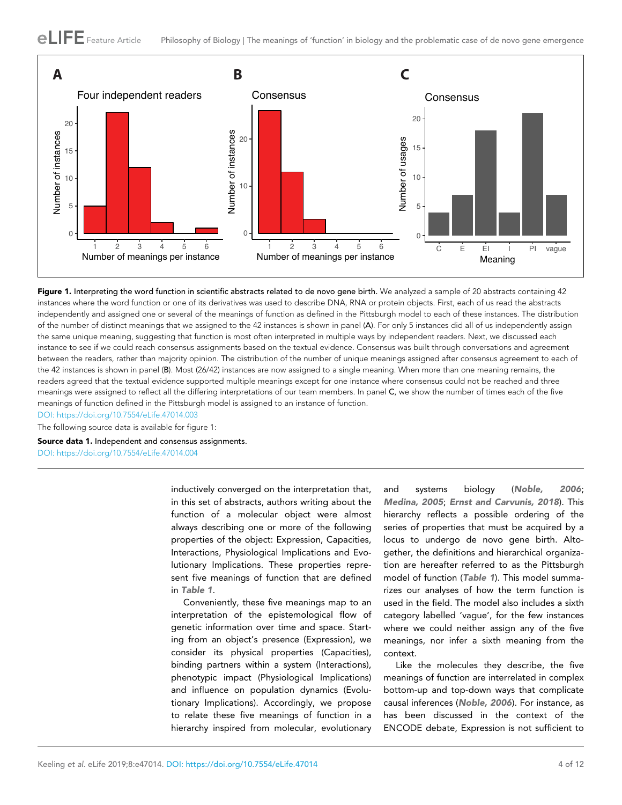<span id="page-3-0"></span>

Figure 1. Interpreting the word function in scientific abstracts related to de novo gene birth. We analyzed a sample of 20 abstracts containing 42 instances where the word function or one of its derivatives was used to describe DNA, RNA or protein objects. First, each of us read the abstracts independently and assigned one or several of the meanings of function as defined in the Pittsburgh model to each of these instances. The distribution of the number of distinct meanings that we assigned to the 42 instances is shown in panel (A). For only 5 instances did all of us independently assign the same unique meaning, suggesting that function is most often interpreted in multiple ways by independent readers. Next, we discussed each instance to see if we could reach consensus assignments based on the textual evidence. Consensus was built through conversations and agreement between the readers, rather than majority opinion. The distribution of the number of unique meanings assigned after consensus agreement to each of the 42 instances is shown in panel (B). Most (26/42) instances are now assigned to a single meaning. When more than one meaning remains, the readers agreed that the textual evidence supported multiple meanings except for one instance where consensus could not be reached and three meanings were assigned to reflect all the differing interpretations of our team members. In panel C, we show the number of times each of the five meanings of function defined in the Pittsburgh model is assigned to an instance of function.

[DOI: https://doi.org/10.7554/eLife.47014.003](https://doi.org/10.7554/eLife.47014.003)

The following source data is available for figure 1:

Source data 1. Independent and consensus assignments. [DOI: https://doi.org/10.7554/eLife.47014.004](https://doi.org/10.7554/eLife.47014.004)

> inductively converged on the interpretation that, in this set of abstracts, authors writing about the function of a molecular object were almost always describing one or more of the following properties of the object: Expression, Capacities, Interactions, Physiological Implications and Evolutionary Implications. These properties represent five meanings of function that are defined in [Table 1](#page-2-0).

> Conveniently, these five meanings map to an interpretation of the epistemological flow of genetic information over time and space. Starting from an object's presence (Expression), we consider its physical properties (Capacities), binding partners within a system (Interactions), phenotypic impact (Physiological Implications) and influence on population dynamics (Evolutionary Implications). Accordingly, we propose to relate these five meanings of function in a hierarchy inspired from molecular, evolutionary

and systems biology ([Noble, 2006](#page-11-0); [Medina, 2005](#page-11-0); [Ernst and Carvunis, 2018](#page-10-0)). This hierarchy reflects a possible ordering of the series of properties that must be acquired by a locus to undergo de novo gene birth. Altogether, the definitions and hierarchical organization are hereafter referred to as the Pittsburgh model of function ([Table 1](#page-2-0)). This model summarizes our analyses of how the term function is used in the field. The model also includes a sixth category labelled 'vague', for the few instances where we could neither assign any of the five meanings, nor infer a sixth meaning from the context.

Like the molecules they describe, the five meanings of function are interrelated in complex bottom-up and top-down ways that complicate causal inferences ([Noble, 2006](#page-11-0)). For instance, as has been discussed in the context of the ENCODE debate, Expression is not sufficient to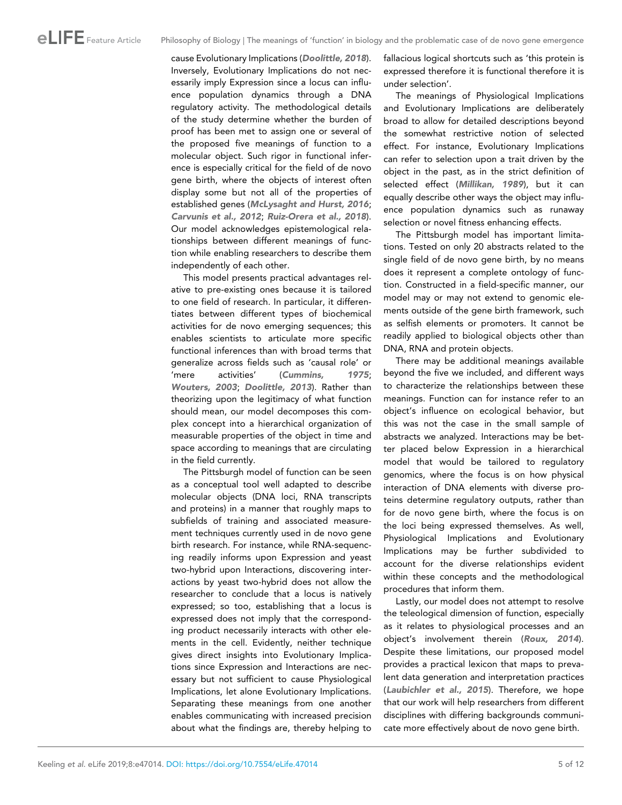cause Evolutionary Implications ([Doolittle, 2018](#page-10-0)). Inversely, Evolutionary Implications do not necessarily imply Expression since a locus can influence population dynamics through a DNA regulatory activity. The methodological details of the study determine whether the burden of proof has been met to assign one or several of the proposed five meanings of function to a molecular object. Such rigor in functional inference is especially critical for the field of de novo gene birth, where the objects of interest often display some but not all of the properties of established genes ([McLysaght and Hurst, 2016](#page-11-0); [Carvunis et al., 2012](#page-10-0); [Ruiz-Orera et al., 2018](#page-11-0)). Our model acknowledges epistemological relationships between different meanings of function while enabling researchers to describe them independently of each other.

This model presents practical advantages relative to pre-existing ones because it is tailored to one field of research. In particular, it differentiates between different types of biochemical activities for de novo emerging sequences; this enables scientists to articulate more specific functional inferences than with broad terms that generalize across fields such as 'causal role' or 'mere activities' ([Cummins, 1975](#page-10-0); [Wouters, 2003](#page-11-0); [Doolittle, 2013](#page-10-0)). Rather than theorizing upon the legitimacy of what function should mean, our model decomposes this complex concept into a hierarchical organization of measurable properties of the object in time and space according to meanings that are circulating in the field currently.

The Pittsburgh model of function can be seen as a conceptual tool well adapted to describe molecular objects (DNA loci, RNA transcripts and proteins) in a manner that roughly maps to subfields of training and associated measurement techniques currently used in de novo gene birth research. For instance, while RNA-sequencing readily informs upon Expression and yeast two-hybrid upon Interactions, discovering interactions by yeast two-hybrid does not allow the researcher to conclude that a locus is natively expressed; so too, establishing that a locus is expressed does not imply that the corresponding product necessarily interacts with other elements in the cell. Evidently, neither technique gives direct insights into Evolutionary Implications since Expression and Interactions are necessary but not sufficient to cause Physiological Implications, let alone Evolutionary Implications. Separating these meanings from one another enables communicating with increased precision about what the findings are, thereby helping to

fallacious logical shortcuts such as 'this protein is expressed therefore it is functional therefore it is under selection'.

The meanings of Physiological Implications and Evolutionary Implications are deliberately broad to allow for detailed descriptions beyond the somewhat restrictive notion of selected effect. For instance, Evolutionary Implications can refer to selection upon a trait driven by the object in the past, as in the strict definition of selected effect ([Millikan, 1989](#page-11-0)), but it can equally describe other ways the object may influence population dynamics such as runaway selection or novel fitness enhancing effects.

The Pittsburgh model has important limitations. Tested on only 20 abstracts related to the single field of de novo gene birth, by no means does it represent a complete ontology of function. Constructed in a field-specific manner, our model may or may not extend to genomic elements outside of the gene birth framework, such as selfish elements or promoters. It cannot be readily applied to biological objects other than DNA, RNA and protein objects.

There may be additional meanings available beyond the five we included, and different ways to characterize the relationships between these meanings. Function can for instance refer to an object's influence on ecological behavior, but this was not the case in the small sample of abstracts we analyzed. Interactions may be better placed below Expression in a hierarchical model that would be tailored to regulatory genomics, where the focus is on how physical interaction of DNA elements with diverse proteins determine regulatory outputs, rather than for de novo gene birth, where the focus is on the loci being expressed themselves. As well, Physiological Implications and Evolutionary Implications may be further subdivided to account for the diverse relationships evident within these concepts and the methodological procedures that inform them.

Lastly, our model does not attempt to resolve the teleological dimension of function, especially as it relates to physiological processes and an object's involvement therein ([Roux, 2014](#page-11-0)). Despite these limitations, our proposed model provides a practical lexicon that maps to prevalent data generation and interpretation practices ([Laubichler et al., 2015](#page-11-0)). Therefore, we hope that our work will help researchers from different disciplines with differing backgrounds communicate more effectively about de novo gene birth.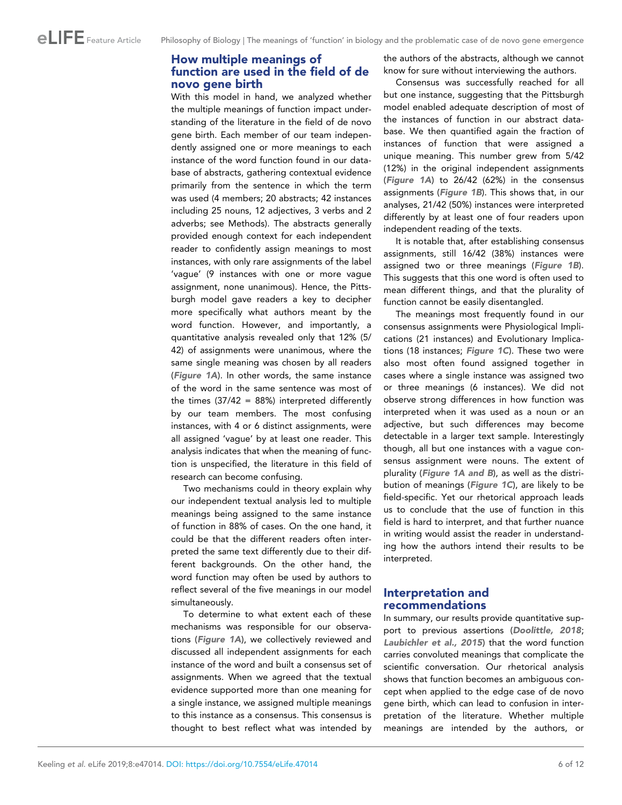# How multiple meanings of function are used in the field of de novo gene birth

With this model in hand, we analyzed whether the multiple meanings of function impact understanding of the literature in the field of de novo gene birth. Each member of our team independently assigned one or more meanings to each instance of the word function found in our database of abstracts, gathering contextual evidence primarily from the sentence in which the term was used (4 members; 20 abstracts; 42 instances including 25 nouns, 12 adjectives, 3 verbs and 2 adverbs; see Methods). The abstracts generally provided enough context for each independent reader to confidently assign meanings to most instances, with only rare assignments of the label 'vague' (9 instances with one or more vague assignment, none unanimous). Hence, the Pittsburgh model gave readers a key to decipher more specifically what authors meant by the word function. However, and importantly, a quantitative analysis revealed only that 12% (5/ 42) of assignments were unanimous, where the same single meaning was chosen by all readers ([Figure 1A](#page-3-0)). In other words, the same instance of the word in the same sentence was most of the times  $(37/42 = 88%)$  interpreted differently by our team members. The most confusing instances, with 4 or 6 distinct assignments, were all assigned 'vague' by at least one reader. This analysis indicates that when the meaning of function is unspecified, the literature in this field of research can become confusing.

Two mechanisms could in theory explain why our independent textual analysis led to multiple meanings being assigned to the same instance of function in 88% of cases. On the one hand, it could be that the different readers often interpreted the same text differently due to their different backgrounds. On the other hand, the word function may often be used by authors to reflect several of the five meanings in our model simultaneously.

To determine to what extent each of these mechanisms was responsible for our observations ([Figure 1A](#page-3-0)), we collectively reviewed and discussed all independent assignments for each instance of the word and built a consensus set of assignments. When we agreed that the textual evidence supported more than one meaning for a single instance, we assigned multiple meanings to this instance as a consensus. This consensus is thought to best reflect what was intended by

the authors of the abstracts, although we cannot know for sure without interviewing the authors.

Consensus was successfully reached for all but one instance, suggesting that the Pittsburgh model enabled adequate description of most of the instances of function in our abstract database. We then quantified again the fraction of instances of function that were assigned a unique meaning. This number grew from 5/42 (12%) in the original independent assignments ([Figure 1A](#page-3-0)) to 26/42 (62%) in the consensus assignments ([Figure 1B](#page-3-0)). This shows that, in our analyses, 21/42 (50%) instances were interpreted differently by at least one of four readers upon independent reading of the texts.

It is notable that, after establishing consensus assignments, still 16/42 (38%) instances were assigned two or three meanings ([Figure 1B](#page-3-0)). This suggests that this one word is often used to mean different things, and that the plurality of function cannot be easily disentangled.

The meanings most frequently found in our consensus assignments were Physiological Implications (21 instances) and Evolutionary Implications (18 instances; [Figure 1C](#page-3-0)). These two were also most often found assigned together in cases where a single instance was assigned two or three meanings (6 instances). We did not observe strong differences in how function was interpreted when it was used as a noun or an adjective, but such differences may become detectable in a larger text sample. Interestingly though, all but one instances with a vague consensus assignment were nouns. The extent of plurality ([Figure 1A and B](#page-3-0)), as well as the distribution of meanings ([Figure 1C](#page-3-0)), are likely to be field-specific. Yet our rhetorical approach leads us to conclude that the use of function in this field is hard to interpret, and that further nuance in writing would assist the reader in understanding how the authors intend their results to be interpreted.

# Interpretation and recommendations

In summary, our results provide quantitative support to previous assertions ([Doolittle, 2018](#page-10-0); [Laubichler et al., 2015](#page-11-0)) that the word function carries convoluted meanings that complicate the scientific conversation. Our rhetorical analysis shows that function becomes an ambiguous concept when applied to the edge case of de novo gene birth, which can lead to confusion in interpretation of the literature. Whether multiple meanings are intended by the authors, or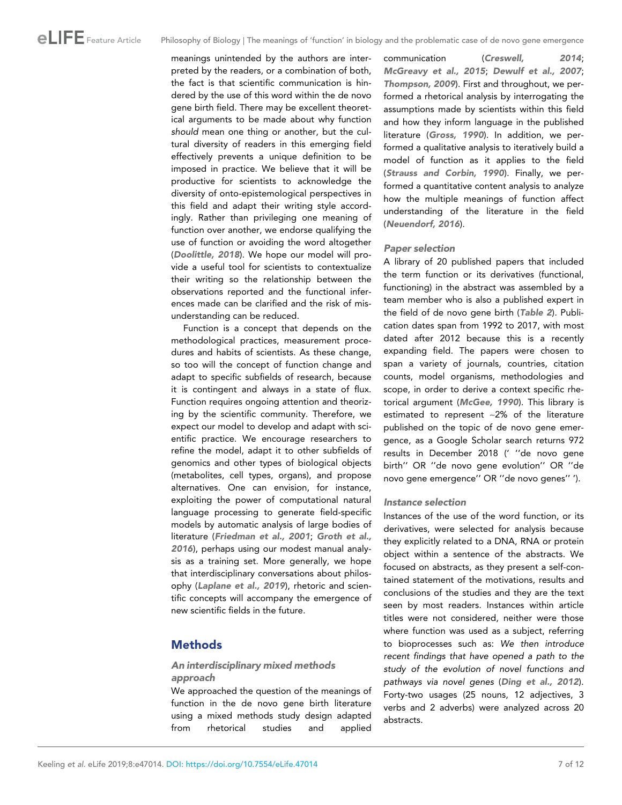meanings unintended by the authors are interpreted by the readers, or a combination of both, the fact is that scientific communication is hindered by the use of this word within the de novo gene birth field. There may be excellent theoretical arguments to be made about why function should mean one thing or another, but the cultural diversity of readers in this emerging field effectively prevents a unique definition to be imposed in practice. We believe that it will be productive for scientists to acknowledge the diversity of onto-epistemological perspectives in this field and adapt their writing style accordingly. Rather than privileging one meaning of function over another, we endorse qualifying the use of function or avoiding the word altogether ([Doolittle, 2018](#page-10-0)). We hope our model will provide a useful tool for scientists to contextualize their writing so the relationship between the observations reported and the functional inferences made can be clarified and the risk of misunderstanding can be reduced.

Function is a concept that depends on the methodological practices, measurement procedures and habits of scientists. As these change, so too will the concept of function change and adapt to specific subfields of research, because it is contingent and always in a state of flux. Function requires ongoing attention and theorizing by the scientific community. Therefore, we expect our model to develop and adapt with scientific practice. We encourage researchers to refine the model, adapt it to other subfields of genomics and other types of biological objects (metabolites, cell types, organs), and propose alternatives. One can envision, for instance, exploiting the power of computational natural language processing to generate field-specific models by automatic analysis of large bodies of literature ([Friedman et al., 2001](#page-10-0); [Groth et al.,](#page-10-0) [2016](#page-10-0)), perhaps using our modest manual analysis as a training set. More generally, we hope that interdisciplinary conversations about philosophy ([Laplane et al., 2019](#page-11-0)), rhetoric and scientific concepts will accompany the emergence of new scientific fields in the future.

# Methods

# An interdisciplinary mixed methods approach

We approached the question of the meanings of function in the de novo gene birth literature using a mixed methods study design adapted from rhetorical studies and applied communication ([Creswell, 2014](#page-10-0); [McGreavy et al., 2015](#page-11-0); [Dewulf et al., 2007](#page-10-0); [Thompson, 2009](#page-11-0)). First and throughout, we performed a rhetorical analysis by interrogating the assumptions made by scientists within this field and how they inform language in the published literature ([Gross, 1990](#page-10-0)). In addition, we performed a qualitative analysis to iteratively build a model of function as it applies to the field ([Strauss and Corbin, 1990](#page-11-0)). Finally, we performed a quantitative content analysis to analyze how the multiple meanings of function affect understanding of the literature in the field ([Neuendorf, 2016](#page-11-0)).

### Paper selection

A library of 20 published papers that included the term function or its derivatives (functional, functioning) in the abstract was assembled by a team member who is also a published expert in the field of de novo gene birth ([Table 2](#page-7-0)). Publication dates span from 1992 to 2017, with most dated after 2012 because this is a recently expanding field. The papers were chosen to span a variety of journals, countries, citation counts, model organisms, methodologies and scope, in order to derive a context specific rhetorical argument ([McGee, 1990](#page-11-0)). This library is estimated to represent ~2% of the literature published on the topic of de novo gene emergence, as a Google Scholar search returns 972 results in December 2018 (' ''de novo gene birth'' OR ''de novo gene evolution'' OR ''de novo gene emergence'' OR ''de novo genes'' ').

## Instance selection

Instances of the use of the word function, or its derivatives, were selected for analysis because they explicitly related to a DNA, RNA or protein object within a sentence of the abstracts. We focused on abstracts, as they present a self-contained statement of the motivations, results and conclusions of the studies and they are the text seen by most readers. Instances within article titles were not considered, neither were those where function was used as a subject, referring to bioprocesses such as: We then introduce recent findings that have opened a path to the study of the evolution of novel functions and pathways via novel genes ([Ding et al., 2012](#page-10-0)). Forty-two usages (25 nouns, 12 adjectives, 3 verbs and 2 adverbs) were analyzed across 20 abstracts.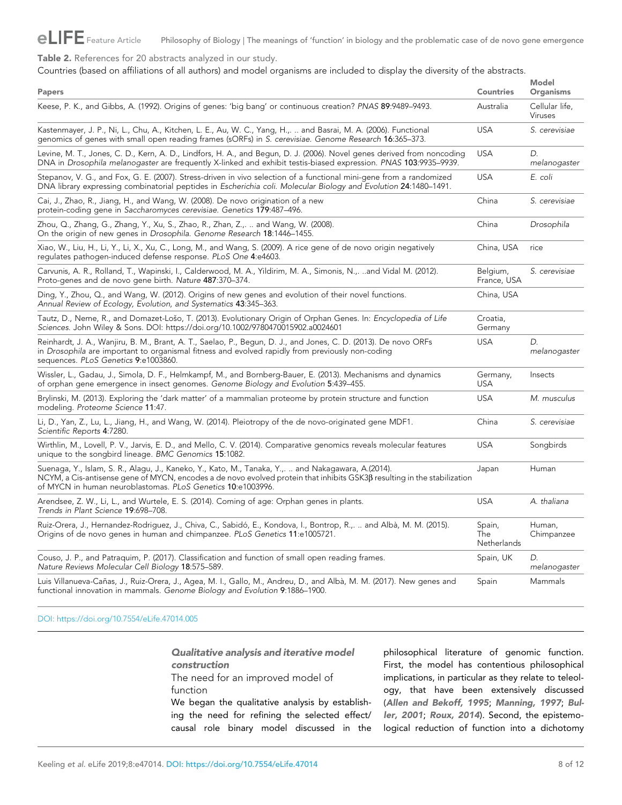# <span id="page-7-0"></span>eLIFE Feature Article Philosophy of Biology | The meanings of 'function' in biology and the problematic case of de novo gene emergence

Table 2. References for 20 abstracts analyzed in our study.

Countries (based on affiliations of all authors) and model organisms are included to display the diversity of the abstracts.

| Papers                                                                                                                                                                                                                                                                                         | <b>Countries</b>             | <b>Model</b><br><b>Organisms</b> |
|------------------------------------------------------------------------------------------------------------------------------------------------------------------------------------------------------------------------------------------------------------------------------------------------|------------------------------|----------------------------------|
| Keese, P. K., and Gibbs, A. (1992). Origins of genes: 'big bang' or continuous creation? PNAS 89:9489-9493.                                                                                                                                                                                    | Australia                    | Cellular life,<br>Viruses        |
| Kastenmayer, J. P., Ni, L., Chu, A., Kitchen, L. E., Au, W. C., Yang, H.,.  and Basrai, M. A. (2006). Functional<br>genomics of genes with small open reading frames (sORFs) in S. cerevisiae. Genome Research 16:365–373.                                                                     | <b>USA</b>                   | S. cerevisiae                    |
| Levine, M. T., Jones, C. D., Kern, A. D., Lindfors, H. A., and Begun, D. J. (2006). Novel genes derived from noncoding<br>DNA in Drosophila melanogaster are frequently X-linked and exhibit testis-biased expression. PNAS 103:9935-9939.                                                     | <b>USA</b>                   | D.<br>melanogaster               |
| Stepanov, V. G., and Fox, G. E. (2007). Stress-driven in vivo selection of a functional mini-gene from a randomized<br>DNA library expressing combinatorial peptides in Escherichia coli. Molecular Biology and Evolution 24:1480–1491.                                                        | <b>USA</b>                   | E. coli                          |
| Cai, J., Zhao, R., Jiang, H., and Wang, W. (2008). De novo origination of a new<br>protein-coding gene in Saccharomyces cerevisiae. Genetics 179:487-496.                                                                                                                                      | China                        | S. cerevisiae                    |
| Zhou, Q., Zhang, G., Zhang, Y., Xu, S., Zhao, R., Zhan, Z.,.  and Wang, W. (2008).<br>On the origin of new genes in Drosophila. Genome Research 18:1446-1455.                                                                                                                                  | China                        | Drosophila                       |
| Xiao, W., Liu, H., Li, Y., Li, X., Xu, C., Long, M., and Wang, S. (2009). A rice gene of de novo origin negatively<br>requiates pathogen-induced defense response. PLoS One 4:e4603.                                                                                                           | China, USA                   | rice                             |
| Carvunis, A. R., Rolland, T., Wapinski, I., Calderwood, M. A., Yildirim, M. A., Simonis, N.,. and Vidal M. (2012).<br>Proto-genes and de novo gene birth. Nature 487:370-374.                                                                                                                  | Belgium,<br>France, USA      | S. cerevisiae                    |
| Ding, Y., Zhou, Q., and Wang, W. (2012). Origins of new genes and evolution of their novel functions.<br>Annual Review of Ecology, Evolution, and Systematics 43:345-363.                                                                                                                      | China, USA                   |                                  |
| Tautz, D., Neme, R., and Domazet-Lošo, T. (2013). Evolutionary Origin of Orphan Genes. In: Encyclopedia of Life<br>Sciences. John Wiley & Sons. DOI: https://doi.org/10.1002/9780470015902.a0024601                                                                                            | Croatia,<br>Germany          |                                  |
| Reinhardt, J. A., Wanjiru, B. M., Brant, A. T., Saelao, P., Begun, D. J., and Jones, C. D. (2013). De novo ORFs<br>in Drosophila are important to organismal fitness and evolved rapidly from previously non-coding<br>sequences. PLoS Genetics 9:e1003860.                                    | <b>USA</b>                   | D.<br>melanogaster               |
| Wissler, L., Gadau, J., Simola, D. F., Helmkampf, M., and Bornberg-Bauer, E. (2013). Mechanisms and dynamics<br>of orphan gene emergence in insect genomes. Genome Biology and Evolution 5:439-455.                                                                                            | Germany,<br><b>USA</b>       | Insects                          |
| Brylinski, M. (2013). Exploring the 'dark matter' of a mammalian proteome by protein structure and function<br>modeling. Proteome Science 11:47.                                                                                                                                               | <b>USA</b>                   | M. musculus                      |
| Li, D., Yan, Z., Lu, L., Jiang, H., and Wang, W. (2014). Pleiotropy of the de novo-originated gene MDF1.<br>Scientific Reports 4:7280.                                                                                                                                                         | China                        | S. cerevisiae                    |
| Wirthlin, M., Lovell, P. V., Jarvis, E. D., and Mello, C. V. (2014). Comparative genomics reveals molecular features<br>unique to the songbird lineage. BMC Genomics 15:1082.                                                                                                                  | <b>USA</b>                   | Songbirds                        |
| Suenaga, Y., Islam, S. R., Alagu, J., Kaneko, Y., Kato, M., Tanaka, Y.,.  and Nakagawara, A.(2014).<br>NCYM, a Cis-antisense gene of MYCN, encodes a de novo evolved protein that inhibits GSK3β resulting in the stabilization<br>of MYCN in human neuroblastomas. PLoS Genetics 10:e1003996. | Japan                        | Human                            |
| Arendsee, Z. W., Li, L., and Wurtele, E. S. (2014). Coming of age: Orphan genes in plants.<br>Trends in Plant Science 19:698-708.                                                                                                                                                              | <b>USA</b>                   | A. thaliana                      |
| Ruiz-Orera, J., Hernandez-Rodriguez, J., Chiva, C., Sabidó, E., Kondova, I., Bontrop, R.,.  and Albà, M. M. (2015).<br>Origins of de novo genes in human and chimpanzee. PLoS Genetics 11:e1005721.                                                                                            | Spain,<br>The<br>Netherlands | Human,<br>Chimpanzee             |
| Couso, J. P., and Patraquim, P. (2017). Classification and function of small open reading frames.<br>Nature Reviews Molecular Cell Biology 18:575-589.                                                                                                                                         | Spain, UK                    | D.<br>melanogaster               |
| Luis Villanueva-Cañas, J., Ruiz-Orera, J., Agea, M. I., Gallo, M., Andreu, D., and Albà, M. M. (2017). New genes and<br>functional innovation in mammals. Genome Biology and Evolution 9:1886-1900.                                                                                            | Spain                        | Mammals                          |

[DOI: https://doi.org/10.7554/eLife.47014.005](https://doi.org/10.7554/eLife.47014.005)

Qualitative analysis and iterative model construction

The need for an improved model of function

We began the qualitative analysis by establishing the need for refining the selected effect/ causal role binary model discussed in the

philosophical literature of genomic function. First, the model has contentious philosophical implications, in particular as they relate to teleology, that have been extensively discussed ([Allen and Bekoff, 1995](#page-10-0); [Manning, 1997](#page-11-0); [Bul](#page-10-0)[ler, 2001](#page-10-0); [Roux, 2014](#page-11-0)). Second, the epistemological reduction of function into a dichotomy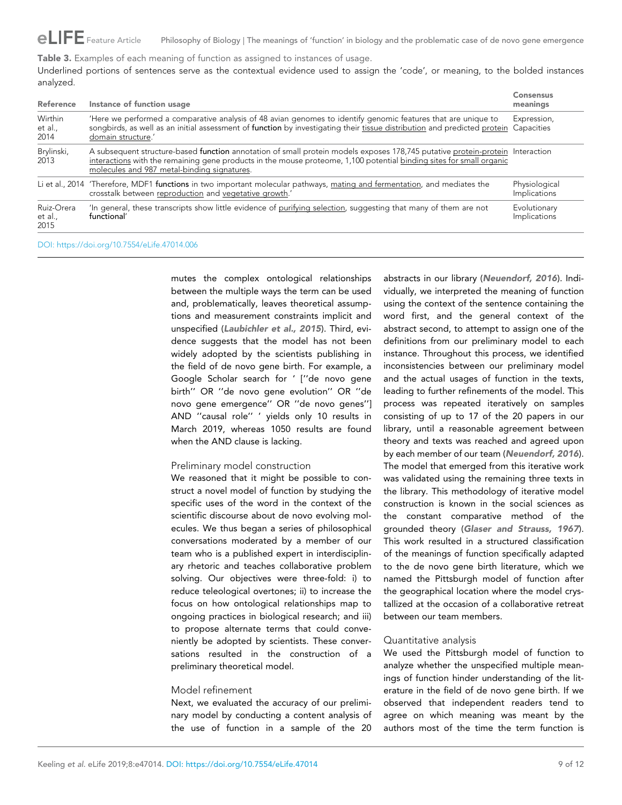<span id="page-8-0"></span> $e\Box$  FE Feature Article Philosophy of Biology | The meanings of 'function' in biology and the problematic case of de novo gene emergence

Table 3. Examples of each meaning of function as assigned to instances of usage.

Underlined portions of sentences serve as the contextual evidence used to assign the 'code', or meaning, to the bolded instances analyzed.

| <b>Reference</b>              | Instance of function usage                                                                                                                                                                                                                                                                           | <b>Consensus</b><br>meanings  |
|-------------------------------|------------------------------------------------------------------------------------------------------------------------------------------------------------------------------------------------------------------------------------------------------------------------------------------------------|-------------------------------|
| Wirthin<br>et al.,<br>2014    | Here we performed a comparative analysis of 48 avian genomes to identify genomic features that are unique to<br>songbirds, as well as an initial assessment of function by investigating their tissue distribution and predicted protein Capacities<br>domain structure.'                            | Expression,                   |
| Brylinski,<br>2013            | A subsequent structure-based function annotation of small protein models exposes 178,745 putative protein-protein Interaction<br>interactions with the remaining gene products in the mouse proteome, 1,100 potential binding sites for small organic<br>molecules and 987 metal-binding signatures. |                               |
|                               | Li et al., 2014 'Therefore, MDF1 functions in two important molecular pathways, mating and fermentation, and mediates the<br>crosstalk between reproduction and vegetative growth.'                                                                                                                  | Physiological<br>Implications |
| Ruiz-Orera<br>et al.,<br>2015 | In general, these transcripts show little evidence of purifying selection, suggesting that many of them are not<br>functional'                                                                                                                                                                       | Evolutionary<br>Implications  |

[DOI: https://doi.org/10.7554/eLife.47014.006](https://doi.org/10.7554/eLife.47014.006)

mutes the complex ontological relationships between the multiple ways the term can be used and, problematically, leaves theoretical assumptions and measurement constraints implicit and unspecified ([Laubichler et al., 2015](#page-11-0)). Third, evidence suggests that the model has not been widely adopted by the scientists publishing in the field of de novo gene birth. For example, a Google Scholar search for ' [''de novo gene birth'' OR ''de novo gene evolution'' OR ''de novo gene emergence'' OR ''de novo genes''] AND ''causal role'' ' yields only 10 results in March 2019, whereas 1050 results are found when the AND clause is lacking.

### Preliminary model construction

We reasoned that it might be possible to construct a novel model of function by studying the specific uses of the word in the context of the scientific discourse about de novo evolving molecules. We thus began a series of philosophical conversations moderated by a member of our team who is a published expert in interdisciplinary rhetoric and teaches collaborative problem solving. Our objectives were three-fold: i) to reduce teleological overtones; ii) to increase the focus on how ontological relationships map to ongoing practices in biological research; and iii) to propose alternate terms that could conveniently be adopted by scientists. These conversations resulted in the construction of a preliminary theoretical model.

## Model refinement

Next, we evaluated the accuracy of our preliminary model by conducting a content analysis of the use of function in a sample of the 20 abstracts in our library ([Neuendorf, 2016](#page-11-0)). Individually, we interpreted the meaning of function using the context of the sentence containing the word first, and the general context of the abstract second, to attempt to assign one of the definitions from our preliminary model to each instance. Throughout this process, we identified inconsistencies between our preliminary model and the actual usages of function in the texts, leading to further refinements of the model. This process was repeated iteratively on samples consisting of up to 17 of the 20 papers in our library, until a reasonable agreement between theory and texts was reached and agreed upon by each member of our team ([Neuendorf, 2016](#page-11-0)). The model that emerged from this iterative work was validated using the remaining three texts in the library. This methodology of iterative model construction is known in the social sciences as the constant comparative method of the grounded theory ([Glaser and Strauss, 1967](#page-10-0)). This work resulted in a structured classification of the meanings of function specifically adapted to the de novo gene birth literature, which we named the Pittsburgh model of function after the geographical location where the model crystallized at the occasion of a collaborative retreat between our team members.

### Quantitative analysis

We used the Pittsburgh model of function to analyze whether the unspecified multiple meanings of function hinder understanding of the literature in the field of de novo gene birth. If we observed that independent readers tend to agree on which meaning was meant by the authors most of the time the term function is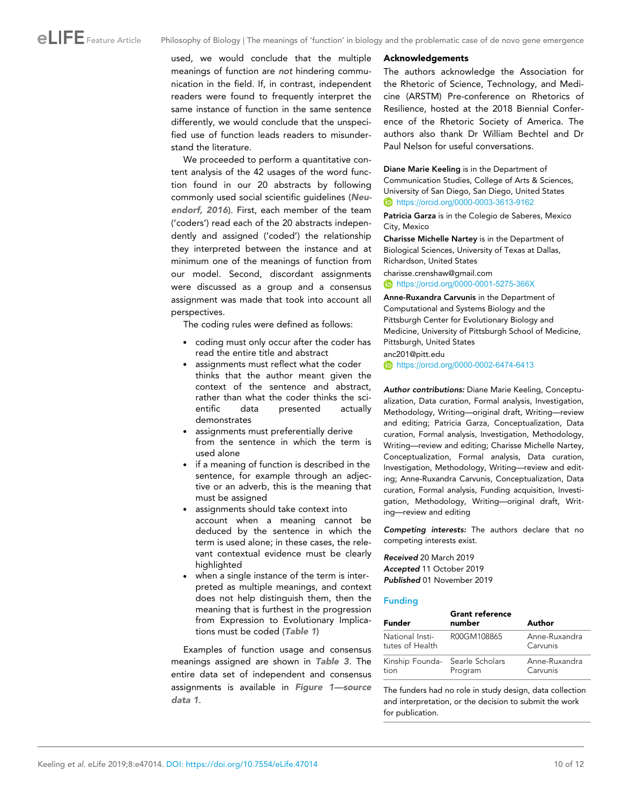<span id="page-9-0"></span>used, we would conclude that the multiple meanings of function are not hindering communication in the field. If, in contrast, independent readers were found to frequently interpret the same instance of function in the same sentence differently, we would conclude that the unspecified use of function leads readers to misunderstand the literature.

We proceeded to perform a quantitative content analysis of the 42 usages of the word function found in our 20 abstracts by following commonly used social scientific guidelines ([Neu](#page-11-0)[endorf, 2016](#page-11-0)). First, each member of the team ('coders') read each of the 20 abstracts independently and assigned ('coded') the relationship they interpreted between the instance and at minimum one of the meanings of function from our model. Second, discordant assignments were discussed as a group and a consensus assignment was made that took into account all perspectives.

The coding rules were defined as follows:

- . coding must only occur after the coder has read the entire title and abstract
- . assignments must reflect what the coder thinks that the author meant given the context of the sentence and abstract, rather than what the coder thinks the scientific data presented actually demonstrates
- . assignments must preferentially derive from the sentence in which the term is used alone
- . if a meaning of function is described in the sentence, for example through an adjective or an adverb, this is the meaning that must be assigned
- . assignments should take context into account when a meaning cannot be deduced by the sentence in which the term is used alone; in these cases, the relevant contextual evidence must be clearly highlighted
- . when a single instance of the term is interpreted as multiple meanings, and context does not help distinguish them, then the meaning that is furthest in the progression from Expression to Evolutionary Implications must be coded ([Table 1](#page-2-0))

Examples of function usage and consensus meanings assigned are shown in [Table 3](#page-8-0). The entire data set of independent and consensus assignments is available in Figure 1-source [data 1](#page-3-0).

#### Acknowledgements

The authors acknowledge the Association for the Rhetoric of Science, Technology, and Medicine (ARSTM) Pre-conference on Rhetorics of Resilience, hosted at the 2018 Biennial Conference of the Rhetoric Society of America. The authors also thank Dr William Bechtel and Dr Paul Nelson for useful conversations.

Diane Marie Keeling is in the Department of Communication Studies, College of Arts & Sciences, University of San Diego, San Diego, United States <https://orcid.org/0000-0003-3613-9162>

Patricia Garza is in the Colegio de Saberes, Mexico City, Mexico

Charisse Michelle Nartey is in the Department of Biological Sciences, University of Texas at Dallas, Richardson, United States

charisse.crenshaw@gmail.com

**b** <https://orcid.org/0000-0001-5275-366X>

Anne-Ruxandra Carvunis in the Department of Computational and Systems Biology and the Pittsburgh Center for Evolutionary Biology and Medicine, University of Pittsburgh School of Medicine, Pittsburgh, United States

anc201@pitt.edu

<https://orcid.org/0000-0002-6474-6413>

Author contributions: Diane Marie Keeling, Conceptualization, Data curation, Formal analysis, Investigation, Methodology, Writing—original draft, Writing—review and editing; Patricia Garza, Conceptualization, Data curation, Formal analysis, Investigation, Methodology, Writing—review and editing; Charisse Michelle Nartey, Conceptualization, Formal analysis, Data curation, Investigation, Methodology, Writing—review and editing; Anne-Ruxandra Carvunis, Conceptualization, Data curation, Formal analysis, Funding acquisition, Investigation, Methodology, Writing—original draft, Writing—review and editing

Competing interests: The authors declare that no competing interests exist.

Received 20 March 2019 Accepted 11 October 2019 Published 01 November 2019

### Funding

| <b>Funder</b>                           | <b>Grant reference</b><br>number | Author                    |
|-----------------------------------------|----------------------------------|---------------------------|
| National Insti-<br>tutes of Health      | R00GM108865                      | Anne-Ruxandra<br>Carvunis |
| Kinship Founda- Searle Scholars<br>tion | Program                          | Anne-Ruxandra<br>Carvunis |

The funders had no role in study design, data collection and interpretation, or the decision to submit the work for publication.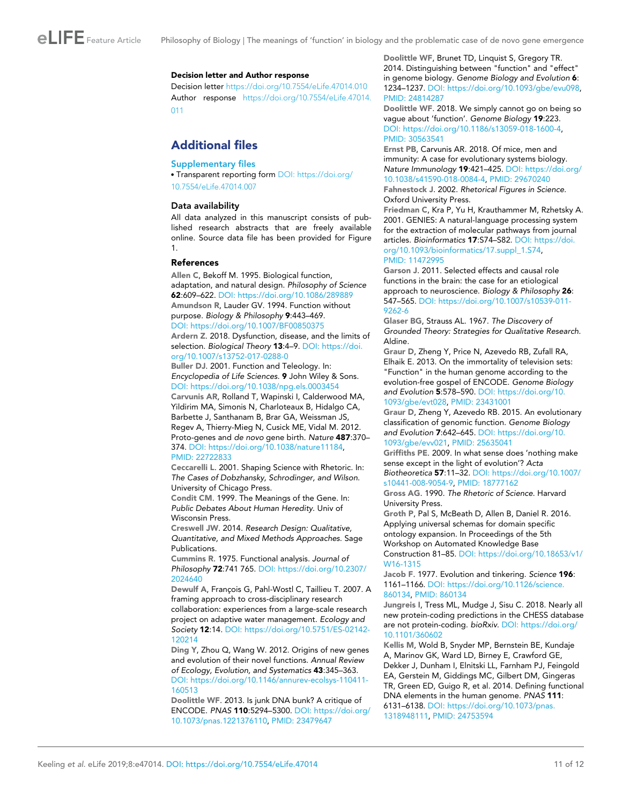<span id="page-10-0"></span>

#### Decision letter and Author response

Decision letter <https://doi.org/10.7554/eLife.47014.010> Author response [https://doi.org/10.7554/eLife.47014.](https://doi.org/10.7554/eLife.47014.011) [011](https://doi.org/10.7554/eLife.47014.011)

# Additional files

### Supplementary files

. Transparent reporting form [DOI: https://doi.org/](https://doi.org/10.7554/eLife.47014.007) [10.7554/eLife.47014.007](https://doi.org/10.7554/eLife.47014.007)

### Data availability

All data analyzed in this manuscript consists of published research abstracts that are freely available online. Source data file has been provided for Figure 1.

### References

Allen C, Bekoff M. 1995. Biological function, adaptation, and natural design. Philosophy of Science 62:609–622. DOI:<https://doi.org/10.1086/289889> Amundson R, Lauder GV. 1994. Function without purpose. Biology & Philosophy 9:443–469. DOI:<https://doi.org/10.1007/BF00850375>

Ardern Z. 2018. Dysfunction, disease, and the limits of selection. Biological Theory 13:4-9. DOI: [https://doi.](https://doi.org/10.1007/s13752-017-0288-0) [org/10.1007/s13752-017-0288-0](https://doi.org/10.1007/s13752-017-0288-0)

Buller DJ. 2001. Function and Teleology. In: Encyclopedia of Life Sciences. 9 John Wiley & Sons. DOI:<https://doi.org/10.1038/npg.els.0003454>

Carvunis AR, Rolland T, Wapinski I, Calderwood MA, Yildirim MA, Simonis N, Charloteaux B, Hidalgo CA, Barbette J, Santhanam B, Brar GA, Weissman JS, Regev A, Thierry-Mieg N, Cusick ME, Vidal M. 2012. Proto-genes and de novo gene birth. Nature 487:370– 374. DOI:<https://doi.org/10.1038/nature11184>, PMID: [22722833](http://www.ncbi.nlm.nih.gov/pubmed/22722833)

Ceccarelli L. 2001. Shaping Science with Rhetoric. In: The Cases of Dobzhansky, Schrodinger, and Wilson. University of Chicago Press.

Condit CM. 1999. The Meanings of the Gene. In: Public Debates About Human Heredity. Univ of Wisconsin Press.

Creswell JW. 2014. Research Design: Qualitative, Quantitative, and Mixed Methods Approaches. Sage Publications.

Cummins R. 1975. Functional analysis. Journal of Philosophy 72:741 765. DOI: [https://doi.org/10.2307/](https://doi.org/10.2307/2024640) [2024640](https://doi.org/10.2307/2024640)

Dewulf A, François G, Pahl-Wostl C, Taillieu T. 2007. A framing approach to cross-disciplinary research collaboration: experiences from a large-scale research project on adaptive water management. Ecology and Society 12:14. DOI: [https://doi.org/10.5751/ES-02142-](https://doi.org/10.5751/ES-02142-120214) [120214](https://doi.org/10.5751/ES-02142-120214)

Ding Y, Zhou Q, Wang W. 2012. Origins of new genes and evolution of their novel functions. Annual Review of Ecology, Evolution, and Systematics 43:345–363. DOI: [https://doi.org/10.1146/annurev-ecolsys-110411-](https://doi.org/10.1146/annurev-ecolsys-110411-160513) [160513](https://doi.org/10.1146/annurev-ecolsys-110411-160513)

Doolittle WF. 2013. Is junk DNA bunk? A critique of ENCODE. PNAS 110:5294–5300. DOI: [https://doi.org/](https://doi.org/10.1073/pnas.1221376110) [10.1073/pnas.1221376110,](https://doi.org/10.1073/pnas.1221376110) PMID: [23479647](http://www.ncbi.nlm.nih.gov/pubmed/23479647)

Doolittle WF, Brunet TD, Linquist S, Gregory TR. 2014. Distinguishing between "function" and "effect" in genome biology. Genome Biology and Evolution 6: 1234–1237. DOI: [https://doi.org/10.1093/gbe/evu098,](https://doi.org/10.1093/gbe/evu098) PMID: [24814287](http://www.ncbi.nlm.nih.gov/pubmed/24814287)

Doolittle WF. 2018. We simply cannot go on being so vague about 'function'. Genome Biology 19:223. DOI:<https://doi.org/10.1186/s13059-018-1600-4>, PMID: [30563541](http://www.ncbi.nlm.nih.gov/pubmed/30563541)

Ernst PB, Carvunis AR. 2018. Of mice, men and immunity: A case for evolutionary systems biology. Nature Immunology 19:421–425. DOI: [https://doi.org/](https://doi.org/10.1038/s41590-018-0084-4) [10.1038/s41590-018-0084-4,](https://doi.org/10.1038/s41590-018-0084-4) PMID: [29670240](http://www.ncbi.nlm.nih.gov/pubmed/29670240) Fahnestock J. 2002. Rhetorical Figures in Science.

Oxford University Press.

Friedman C, Kra P, Yu H, Krauthammer M, Rzhetsky A. 2001. GENIES: A natural-language processing system for the extraction of molecular pathways from journal articles. Bioinformatics 17:S74–S82. DOI: [https://doi.](https://doi.org/10.1093/bioinformatics/17.suppl_1.S74) [org/10.1093/bioinformatics/17.suppl\\_1.S74,](https://doi.org/10.1093/bioinformatics/17.suppl_1.S74) PMID: [11472995](http://www.ncbi.nlm.nih.gov/pubmed/11472995)

Garson J. 2011. Selected effects and causal role functions in the brain: the case for an etiological approach to neuroscience. Biology & Philosophy 26: 547–565. DOI: [https://doi.org/10.1007/s10539-011-](https://doi.org/10.1007/s10539-011-9262-6) [9262-6](https://doi.org/10.1007/s10539-011-9262-6)

Glaser BG, Strauss AL. 1967. The Discovery of Grounded Theory: Strategies for Qualitative Research. Aldine.

Graur D, Zheng Y, Price N, Azevedo RB, Zufall RA, Elhaik E. 2013. On the immortality of television sets: "Function" in the human genome according to the evolution-free gospel of ENCODE. Genome Biology and Evolution 5:578–590. DOI: [https://doi.org/10.](https://doi.org/10.1093/gbe/evt028) [1093/gbe/evt028,](https://doi.org/10.1093/gbe/evt028) PMID: [23431001](http://www.ncbi.nlm.nih.gov/pubmed/23431001)

Graur D, Zheng Y, Azevedo RB. 2015. An evolutionary classification of genomic function. Genome Biology and Evolution 7:642–645. DOI: [https://doi.org/10.](https://doi.org/10.1093/gbe/evv021) [1093/gbe/evv021,](https://doi.org/10.1093/gbe/evv021) PMID: [25635041](http://www.ncbi.nlm.nih.gov/pubmed/25635041)

Griffiths PE. 2009. In what sense does 'nothing make sense except in the light of evolution'? Acta Biotheoretica 57:11–32. DOI: [https://doi.org/10.1007/](https://doi.org/10.1007/s10441-008-9054-9)

[s10441-008-9054-9](https://doi.org/10.1007/s10441-008-9054-9), PMID: [18777162](http://www.ncbi.nlm.nih.gov/pubmed/18777162)

Gross AG. 1990. The Rhetoric of Science. Harvard University Press.

Groth P, Pal S, McBeath D, Allen B, Daniel R. 2016. Applying universal schemas for domain specific ontology expansion. In Proceedings of the 5th Workshop on Automated Knowledge Base Construction 81–85. DOI: [https://doi.org/10.18653/v1/](https://doi.org/10.18653/v1/W16-1315)

[W16-1315](https://doi.org/10.18653/v1/W16-1315)

Jacob F. 1977. Evolution and tinkering. Science 196: 1161–1166. DOI: [https://doi.org/10.1126/science.](https://doi.org/10.1126/science.860134) [860134](https://doi.org/10.1126/science.860134), PMID: [860134](http://www.ncbi.nlm.nih.gov/pubmed/860134)

Jungreis I, Tress ML, Mudge J, Sisu C. 2018. Nearly all new protein-coding predictions in the CHESS database are not protein-coding. bioRxiv. DOI: [https://doi.org/](https://doi.org/10.1101/360602) [10.1101/360602](https://doi.org/10.1101/360602)

Kellis M, Wold B, Snyder MP, Bernstein BE, Kundaje A, Marinov GK, Ward LD, Birney E, Crawford GE, Dekker J, Dunham I, Elnitski LL, Farnham PJ, Feingold EA, Gerstein M, Giddings MC, Gilbert DM, Gingeras TR, Green ED, Guigo R, et al. 2014. Defining functional DNA elements in the human genome. PNAS 111: 6131–6138. DOI: [https://doi.org/10.1073/pnas.](https://doi.org/10.1073/pnas.1318948111) [1318948111,](https://doi.org/10.1073/pnas.1318948111) PMID: [24753594](http://www.ncbi.nlm.nih.gov/pubmed/24753594)